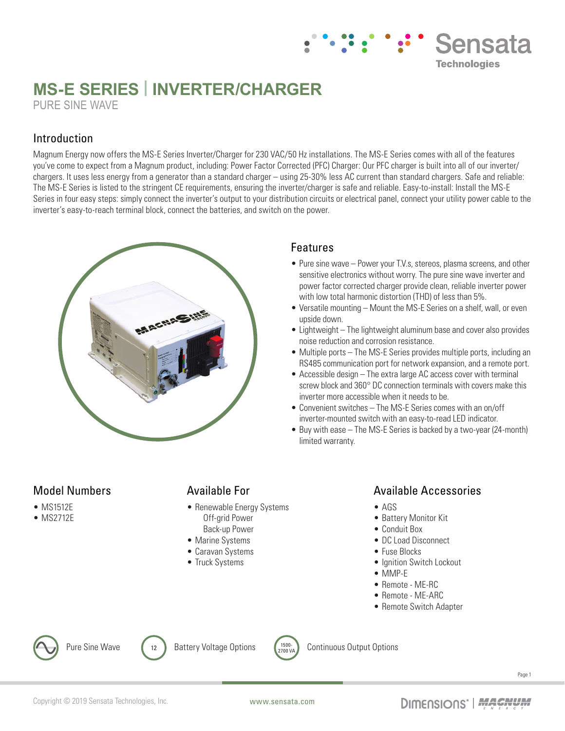# **MS-E SERIES | INVERTER/CHARGER** PURE SINE WAVE

### Introduction

Magnum Energy now offers the MS-E Series Inverter/Charger for 230 VAC/50 Hz installations. The MS-E Series comes with all of the features you've come to expect from a Magnum product, including: Power Factor Corrected (PFC) Charger: Our PFC charger is built into all of our inverter/ chargers. It uses less energy from a generator than a standard charger – using 25-30% less AC current than standard chargers. Safe and reliable: The MS-E Series is listed to the stringent CE requirements, ensuring the inverter/charger is safe and reliable. Easy-to-install: Install the MS-E Series in four easy steps: simply connect the inverter's output to your distribution circuits or electrical panel, connect your utility power cable to the inverter's easy-to-reach terminal block, connect the batteries, and switch on the power.



## Features

• Pure sine wave – Power your T.V.s, stereos, plasma screens, and other sensitive electronics without worry. The pure sine wave inverter and power factor corrected charger provide clean, reliable inverter power with low total harmonic distortion (THD) of less than 5%.

**Sensata** 

**Technologies** 

- Versatile mounting Mount the MS-E Series on a shelf, wall, or even upside down.
- Lightweight The lightweight aluminum base and cover also provides noise reduction and corrosion resistance.
- Multiple ports The MS-E Series provides multiple ports, including an RS485 communication port for network expansion, and a remote port.
- Accessible design The extra large AC access cover with terminal screw block and 360° DC connection terminals with covers make this inverter more accessible when it needs to be.
- Convenient switches The MS-E Series comes with an on/off inverter-mounted switch with an easy-to-read LED indicator.
- Buy with ease The MS-E Series is backed by a two-year (24-month) limited warranty.

### Model Numbers

- MS1512E
- MS2712E

### Available For

- Renewable Energy Systems Off-grid Power Back-up Power
- Marine Systems
- Caravan Systems
- Truck Systems

### Available Accessories

- AGS
- Battery Monitor Kit
- Conduit Box
- DC Load Disconnect
- Fuse Blocks
- Ignition Switch Lockout
- MMP-E
- Remote ME-RC
- Remote ME-ARC
- Remote Switch Adapter



Pure Sine Wave  $\left( \begin{array}{ccc} 1 & 2 \end{array} \right)$  Battery Voltage Options  $\left( \begin{array}{cc} 1500 - 1500 & 1500 \end{array} \right)$ 



Continuous Output Options

Page 1

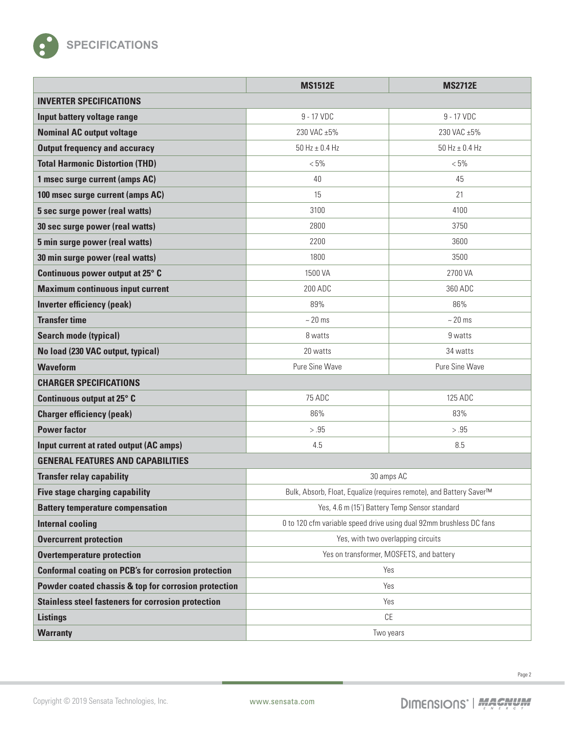

|                                                            | <b>MS1512E</b>                                                      | <b>MS2712E</b>       |  |
|------------------------------------------------------------|---------------------------------------------------------------------|----------------------|--|
| <b>INVERTER SPECIFICATIONS</b>                             |                                                                     |                      |  |
| Input battery voltage range                                | 9 - 17 VDC                                                          | 9 - 17 VDC           |  |
| <b>Nominal AC output voltage</b>                           | 230 VAC ±5%                                                         | 230 VAC ±5%          |  |
| <b>Output frequency and accuracy</b>                       | 50 Hz $\pm$ 0.4 Hz                                                  | $50$ Hz $\pm$ 0.4 Hz |  |
| <b>Total Harmonic Distortion (THD)</b>                     | $< 5\%$                                                             | $< 5\%$              |  |
| 1 msec surge current (amps AC)                             | 40                                                                  | 45                   |  |
| 100 msec surge current (amps AC)                           | 15                                                                  | 21                   |  |
| 5 sec surge power (real watts)                             | 3100                                                                | 4100                 |  |
| 30 sec surge power (real watts)                            | 2800                                                                | 3750                 |  |
| 5 min surge power (real watts)                             | 2200                                                                | 3600                 |  |
| 30 min surge power (real watts)                            | 1800                                                                | 3500                 |  |
| Continuous power output at 25° C                           | 1500 VA                                                             | 2700 VA              |  |
| <b>Maximum continuous input current</b>                    | 200 ADC                                                             | 360 ADC              |  |
| <b>Inverter efficiency (peak)</b>                          | 89%                                                                 | 86%                  |  |
| <b>Transfer time</b>                                       | $~20$ ms                                                            | $~20$ ms             |  |
| <b>Search mode (typical)</b>                               | 8 watts                                                             | 9 watts              |  |
| No load (230 VAC output, typical)                          | 20 watts                                                            | 34 watts             |  |
| <b>Waveform</b>                                            | Pure Sine Wave                                                      | Pure Sine Wave       |  |
| <b>CHARGER SPECIFICATIONS</b>                              |                                                                     |                      |  |
| Continuous output at 25° C                                 | 75 ADC                                                              | 125 ADC              |  |
| <b>Charger efficiency (peak)</b>                           | 86%                                                                 | 83%                  |  |
| <b>Power factor</b>                                        | > .95                                                               | > .95                |  |
| Input current at rated output (AC amps)                    | 4.5                                                                 | 8.5                  |  |
| <b>GENERAL FEATURES AND CAPABILITIES</b>                   |                                                                     |                      |  |
| <b>Transfer relay capability</b>                           | 30 amps AC                                                          |                      |  |
| <b>Five stage charging capability</b>                      | Bulk, Absorb, Float, Equalize (requires remote), and Battery Saver™ |                      |  |
| <b>Battery temperature compensation</b>                    | Yes, 4.6 m (15') Battery Temp Sensor standard                       |                      |  |
| <b>Internal cooling</b>                                    | 0 to 120 cfm variable speed drive using dual 92mm brushless DC fans |                      |  |
| <b>Overcurrent protection</b>                              | Yes, with two overlapping circuits                                  |                      |  |
| <b>Overtemperature protection</b>                          | Yes on transformer, MOSFETS, and battery                            |                      |  |
| <b>Conformal coating on PCB's for corrosion protection</b> | Yes                                                                 |                      |  |
| Powder coated chassis & top for corrosion protection       | Yes                                                                 |                      |  |
| <b>Stainless steel fasteners for corrosion protection</b>  | Yes                                                                 |                      |  |
| <b>Listings</b>                                            | CE                                                                  |                      |  |
| <b>Warranty</b>                                            | Two years                                                           |                      |  |